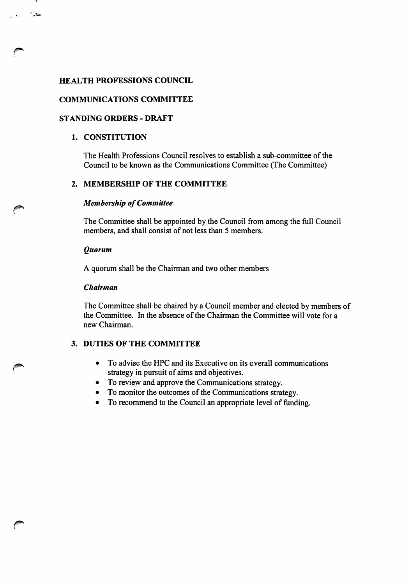# HEALTH PROFESSIONS COUNCIL

# COMMUNICATIONS COMMITTEE

# **STANDING ORDERS - DRAFT**

### 1. CONSTITUTION

سديا

The Health Professions Council resolves to establish a sub-committee of the Council to be known as the Communications Committee (The Committee)

# 2. MEMBERSHIP OF THE COMMITTEE

### Membership of Committee

The Committee shall be appointed by the Council from among the full Council members, and shall consist of not less than 5 members.

#### Quorum

A quorum shall be the Chairman and two other members

#### Chairman

The Committee shall be chaired by a Council member and elected by members of the Committee. In the absence of the Chairman the Committee will vote for a new Chairman.

## 3. DUTIES OF THE COMMITTEE

- To advise the HPC and its Executive on its overall communications strategy in pursuit of aims and objectives.
- To review and approve the Communications strategy.
- To monitor the outcomes of the Communications strategy.
- To recommend to the Council an appropriate level of funding.